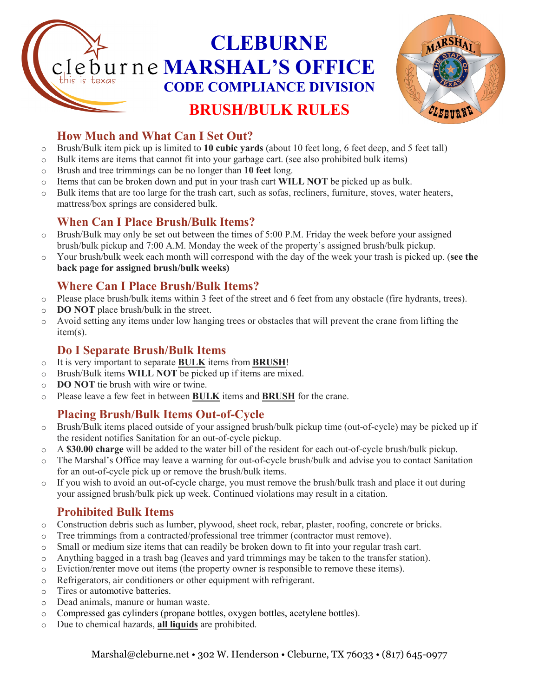# **CLEBURNE**  burne **MARSHAL'S OFFICE CODE COMPLIANCE DIVISION BRUSH/BULK RULES**



# **How Much and What Can I Set Out?**

- o Brush/Bulk item pick up is limited to **10 cubic yards** (about 10 feet long, 6 feet deep, and 5 feet tall)
- o Bulk items are items that cannot fit into your garbage cart. (see also prohibited bulk items)
- o Brush and tree trimmings can be no longer than **10 feet** long.
- o Items that can be broken down and put in your trash cart **WILL NOT** be picked up as bulk.
- o Bulk items that are too large for the trash cart, such as sofas, recliners, furniture, stoves, water heaters, mattress/box springs are considered bulk.

## **When Can I Place Brush/Bulk Items?**

- $\circ$  Brush/Bulk may only be set out between the times of 5:00 P.M. Friday the week before your assigned brush/bulk pickup and 7:00 A.M. Monday the week of the property's assigned brush/bulk pickup.
- o Your brush/bulk week each month will correspond with the day of the week your trash is picked up. (**see the back page for assigned brush/bulk weeks)**

## **Where Can I Place Brush/Bulk Items?**

- o Please place brush/bulk items within 3 feet of the street and 6 feet from any obstacle (fire hydrants, trees).
- o **DO NOT** place brush/bulk in the street.
- o Avoid setting any items under low hanging trees or obstacles that will prevent the crane from lifting the item(s).

#### **Do I Separate Brush/Bulk Items**

- o It is very important to separate **BULK** items from **BRUSH**!
- o Brush/Bulk items **WILL NOT** be picked up if items are mixed.
- o **DO NOT** tie brush with wire or twine.
- o Please leave a few feet in between **BULK** items and **BRUSH** for the crane.

# **Placing Brush/Bulk Items Out-of-Cycle**

- o Brush/Bulk items placed outside of your assigned brush/bulk pickup time (out-of-cycle) may be picked up if the resident notifies Sanitation for an out-of-cycle pickup.
- o A **\$30.00 charge** will be added to the water bill of the resident for each out-of-cycle brush/bulk pickup.
- o The Marshal's Office may leave a warning for out-of-cycle brush/bulk and advise you to contact Sanitation for an out-of-cycle pick up or remove the brush/bulk items.
- o If you wish to avoid an out-of-cycle charge, you must remove the brush/bulk trash and place it out during your assigned brush/bulk pick up week. Continued violations may result in a citation.

# **Prohibited Bulk Items**

- o Construction debris such as lumber, plywood, sheet rock, rebar, plaster, roofing, concrete or bricks.
- o Tree trimmings from a contracted/professional tree trimmer (contractor must remove).
- o Small or medium size items that can readily be broken down to fit into your regular trash cart.
- o Anything bagged in a trash bag (leaves and yard trimmings may be taken to the transfer station).
- o Eviction/renter move out items (the property owner is responsible to remove these items).
- o Refrigerators, air conditioners or other equipment with refrigerant.
- o Tires or automotive batteries.
- o Dead animals, manure or human waste.
- o Compressed gas cylinders (propane bottles, oxygen bottles, acetylene bottles).
- o Due to chemical hazards, **all liquids** are prohibited.